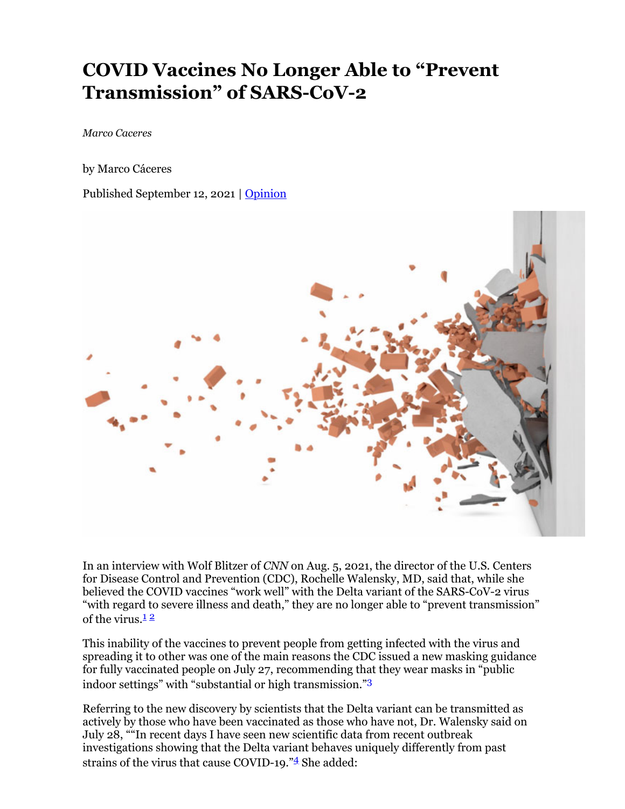# **COVID Vaccines No Longer Able to "Prevent Transmission" of SARS-CoV-2**

*Marco Caceres*

by Marco Cáceres

Published September 12, 2021 | Opinion



In an interview with Wolf Blitzer of *CNN* on Aug. 5, 2021, the director of the U.S. Centers for Disease Control and Prevention (CDC), Rochelle Walensky, MD, said that, while she believed the COVID vaccines "work well" with the Delta variant of the SARS-CoV-2 virus "with regard to severe illness and death," they are no longer able to "prevent transmission" of the virus. $12$ 

This inability of the vaccines to prevent people from getting infected with the virus and spreading it to other was one of the main reasons the CDC issued a new masking guidance for fully vaccinated people on July 27, recommending that they wear masks in "public indoor settings" with "substantial or high transmission."3

Referring to the new discovery by scientists that the Delta variant can be transmitted as actively by those who have been vaccinated as those who have not, Dr. Walensky said on July 28, ""In recent days I have seen new scientific data from recent outbreak investigations showing that the Delta variant behaves uniquely differently from past strains of the virus that cause COVID-19."<sup>4</sup> She added: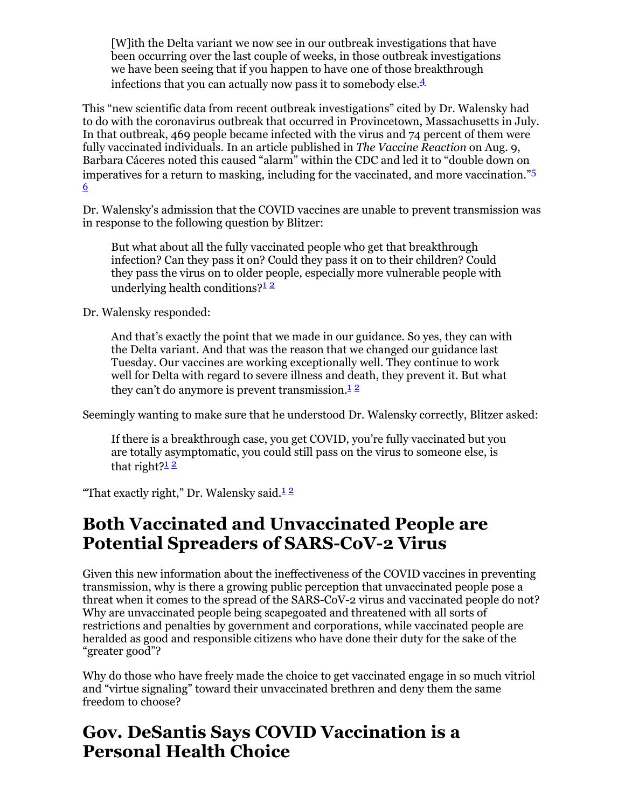[W]ith the Delta variant we now see in our outbreak investigations that have been occurring over the last couple of weeks, in those outbreak investigations we have been seeing that if you happen to have one of those breakthrough infections that you can actually now pass it to somebody else.<sup>4</sup>

This "new scientific data from recent outbreak investigations" cited by Dr. Walensky had to do with the coronavirus outbreak that occurred in Provincetown, Massachusetts in July. In that outbreak, 469 people became infected with the virus and 74 percent of them were fully vaccinated individuals. In an article published in *The Vaccine Reaction* on Aug. 9, Barbara Cáceres noted this caused "alarm" within the CDC and led it to "double down on imperatives for a return to masking, including for the vaccinated, and more vaccination."5 6

Dr. Walensky's admission that the COVID vaccines are unable to prevent transmission was in response to the following question by Blitzer:

But what about all the fully vaccinated people who get that breakthrough infection? Can they pass it on? Could they pass it on to their children? Could they pass the virus on to older people, especially more vulnerable people with underlying health conditions? $\frac{12}{1}$ 

Dr. Walensky responded:

And that's exactly the point that we made in our guidance. So yes, they can with the Delta variant. And that was the reason that we changed our guidance last Tuesday. Our vaccines are working exceptionally well. They continue to work well for Delta with regard to severe illness and death, they prevent it. But what they can't do anymore is prevent transmission.<sup>12</sup>

Seemingly wanting to make sure that he understood Dr. Walensky correctly, Blitzer asked:

If there is a breakthrough case, you get COVID, you're fully vaccinated but you are totally asymptomatic, you could still pass on the virus to someone else, is that right? $\frac{12}{1}$ 

"That exactly right," Dr. Walensky said. $12$ 

## **Both Vaccinated and Unvaccinated People are Potential Spreaders of SARS-CoV-2 Virus**

Given this new information about the ineffectiveness of the COVID vaccines in preventing transmission, why is there a growing public perception that unvaccinated people pose a threat when it comes to the spread of the SARS-CoV-2 virus and vaccinated people do not? Why are unvaccinated people being scapegoated and threatened with all sorts of restrictions and penalties by government and corporations, while vaccinated people are heralded as good and responsible citizens who have done their duty for the sake of the "greater good"?

Why do those who have freely made the choice to get vaccinated engage in so much vitriol and "virtue signaling" toward their unvaccinated brethren and deny them the same freedom to choose?

## **Gov. DeSantis Says COVID Vaccination is a Personal Health Choice**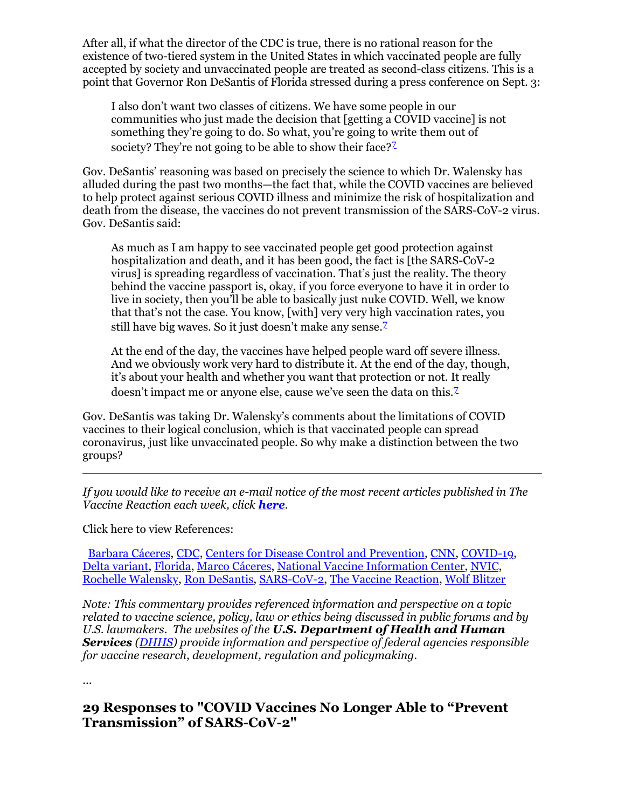After all, if what the director of the CDC is true, there is no rational reason for the existence of two-tiered system in the United States in which vaccinated people are fully accepted by society and unvaccinated people are treated as second-class citizens. This is a point that Governor Ron DeSantis of Florida stressed during a press conference on Sept. 3:

I also don't want two classes of citizens. We have some people in our communities who just made the decision that [getting a COVID vaccine] is not something they're going to do. So what, you're going to write them out of society? They're not going to be able to show their face? $\mathbb{Z}$ 

Gov. DeSantis' reasoning was based on precisely the science to which Dr. Walensky has alluded during the past two months—the fact that, while the COVID vaccines are believed to help protect against serious COVID illness and minimize the risk of hospitalization and death from the disease, the vaccines do not prevent transmission of the SARS-CoV-2 virus. Gov. DeSantis said:

As much as I am happy to see vaccinated people get good protection against hospitalization and death, and it has been good, the fact is [the SARS-CoV-2 virus] is spreading regardless of vaccination. That's just the reality. The theory behind the vaccine passport is, okay, if you force everyone to have it in order to live in society, then you'll be able to basically just nuke COVID. Well, we know that that's not the case. You know, [with] very very high vaccination rates, you still have big waves. So it just doesn't make any sense.<sup>7</sup>

At the end of the day, the vaccines have helped people ward off severe illness. And we obviously work very hard to distribute it. At the end of the day, though, it's about your health and whether you want that protection or not. It really doesn't impact me or anyone else, cause we've seen the data on this.<sup>7</sup>

Gov. DeSantis was taking Dr. Walensky's comments about the limitations of COVID vaccines to their logical conclusion, which is that vaccinated people can spread coronavirus, just like unvaccinated people. So why make a distinction between the two groups?

*If you would like to receive an e-mail notice of the most recent articles published in The Vaccine Reaction each week, click here.*

Click here to view References:

Barbara Cáceres, CDC, Centers for Disease Control and Prevention, CNN, COVID-19, Delta variant, Florida, Marco Cáceres, National Vaccine Information Center, NVIC, Rochelle Walensky, Ron DeSantis, SARS-CoV-2, The Vaccine Reaction, Wolf Blitzer

*Note: This commentary provides referenced information and perspective on a topic related to vaccine science, policy, law or ethics being discussed in public forums and by U.S. lawmakers. The websites of the U.S. Department of Health and Human Services (DHHS) provide information and perspective of federal agencies responsible for vaccine research, development, regulation and policymaking.*

...

### **29 Responses to "COVID Vaccines No Longer Able to "Prevent Transmission" of SARS-CoV-2"**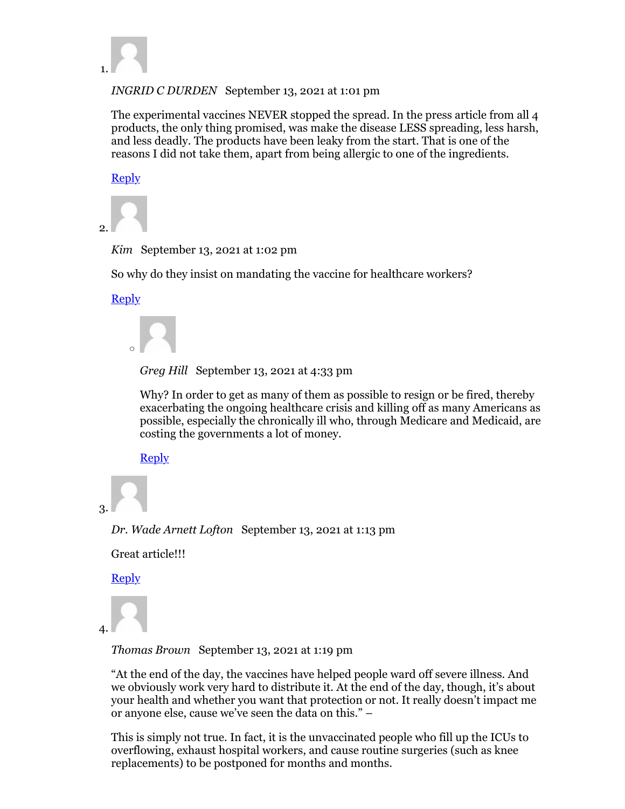

*INGRID C DURDEN* September 13, 2021 at 1:01 pm

The experimental vaccines NEVER stopped the spread. In the press article from all 4 products, the only thing promised, was make the disease LESS spreading, less harsh, and less deadly. The products have been leaky from the start. That is one of the reasons I did not take them, apart from being allergic to one of the ingredients.

**Reply** 



*Kim* September 13, 2021 at 1:02 pm

So why do they insist on mandating the vaccine for healthcare workers?

**Reply** 



*Greg Hill* September 13, 2021 at 4:33 pm

Why? In order to get as many of them as possible to resign or be fired, thereby exacerbating the ongoing healthcare crisis and killing off as many Americans as possible, especially the chronically ill who, through Medicare and Medicaid, are costing the governments a lot of money.

**Reply** 

```
3.
```
*Dr. Wade Arnett Lofton* September 13, 2021 at 1:13 pm

Great article!!!

**Reply** 

```
4.
```
*Thomas Brown* September 13, 2021 at 1:19 pm

"At the end of the day, the vaccines have helped people ward off severe illness. And we obviously work very hard to distribute it. At the end of the day, though, it's about your health and whether you want that protection or not. It really doesn't impact me or anyone else, cause we've seen the data on this." –

This is simply not true. In fact, it is the unvaccinated people who fill up the ICUs to overflowing, exhaust hospital workers, and cause routine surgeries (such as knee replacements) to be postponed for months and months.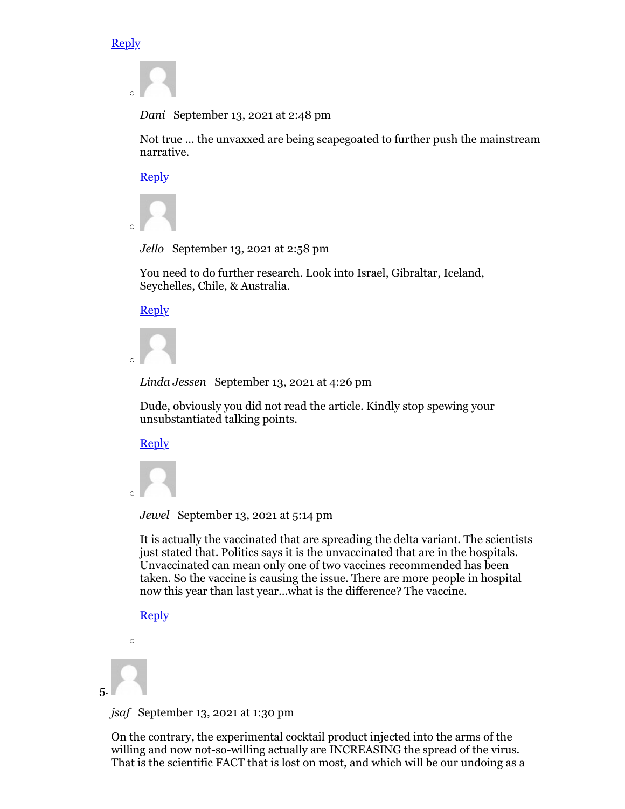#### **Reply**

*Dani* September 13, 2021 at 2:48 pm

Not true … the unvaxxed are being scapegoated to further push the mainstream narrative.

Reply



*Jello* September 13, 2021 at 2:58 pm

You need to do further research. Look into Israel, Gibraltar, Iceland, Seychelles, Chile, & Australia.

Reply



*Linda Jessen* September 13, 2021 at 4:26 pm

Dude, obviously you did not read the article. Kindly stop spewing your unsubstantiated talking points.

Reply



*Jewel* September 13, 2021 at 5:14 pm

It is actually the vaccinated that are spreading the delta variant. The scientists just stated that. Politics says it is the unvaccinated that are in the hospitals. Unvaccinated can mean only one of two vaccines recommended has been taken. So the vaccine is causing the issue. There are more people in hospital now this year than last year…what is the difference? The vaccine.

**Reply** 

```
\circ
```
5.

*jsaf* September 13, 2021 at 1:30 pm

On the contrary, the experimental cocktail product injected into the arms of the willing and now not-so-willing actually are INCREASING the spread of the virus. That is the scientific FACT that is lost on most, and which will be our undoing as a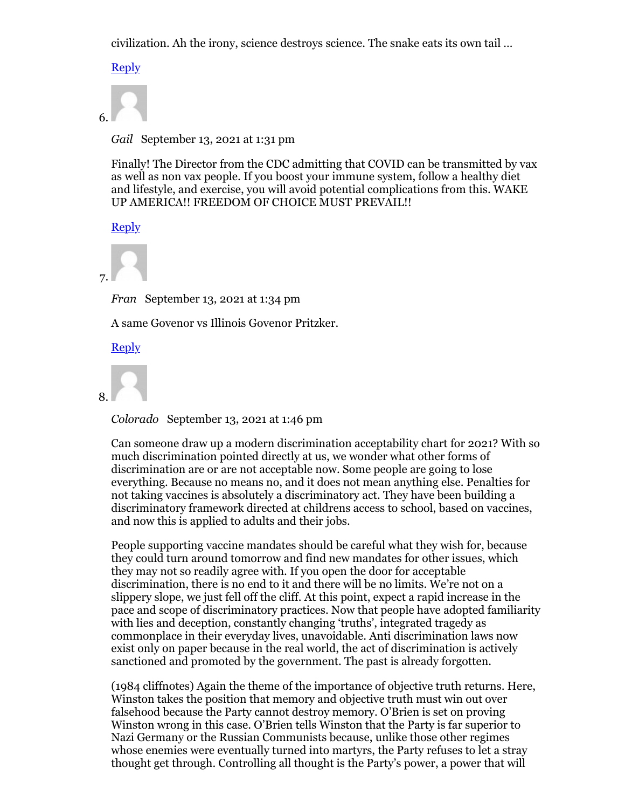civilization. Ah the irony, science destroys science. The snake eats its own tail …

**Reply** 



*Gail* September 13, 2021 at 1:31 pm

Finally! The Director from the CDC admitting that COVID can be transmitted by vax as well as non vax people. If you boost your immune system, follow a healthy diet and lifestyle, and exercise, you will avoid potential complications from this. WAKE UP AMERICA!! FREEDOM OF CHOICE MUST PREVAIL!!

Reply



*Fran* September 13, 2021 at 1:34 pm

A same Govenor vs Illinois Govenor Pritzker.

**Reply** 



*Colorado* September 13, 2021 at 1:46 pm

Can someone draw up a modern discrimination acceptability chart for 2021? With so much discrimination pointed directly at us, we wonder what other forms of discrimination are or are not acceptable now. Some people are going to lose everything. Because no means no, and it does not mean anything else. Penalties for not taking vaccines is absolutely a discriminatory act. They have been building a discriminatory framework directed at childrens access to school, based on vaccines, and now this is applied to adults and their jobs.

People supporting vaccine mandates should be careful what they wish for, because they could turn around tomorrow and find new mandates for other issues, which they may not so readily agree with. If you open the door for acceptable discrimination, there is no end to it and there will be no limits. We're not on a slippery slope, we just fell off the cliff. At this point, expect a rapid increase in the pace and scope of discriminatory practices. Now that people have adopted familiarity with lies and deception, constantly changing 'truths', integrated tragedy as commonplace in their everyday lives, unavoidable. Anti discrimination laws now exist only on paper because in the real world, the act of discrimination is actively sanctioned and promoted by the government. The past is already forgotten.

(1984 cliffnotes) Again the theme of the importance of objective truth returns. Here, Winston takes the position that memory and objective truth must win out over falsehood because the Party cannot destroy memory. O'Brien is set on proving Winston wrong in this case. O'Brien tells Winston that the Party is far superior to Nazi Germany or the Russian Communists because, unlike those other regimes whose enemies were eventually turned into martyrs, the Party refuses to let a stray thought get through. Controlling all thought is the Party's power, a power that will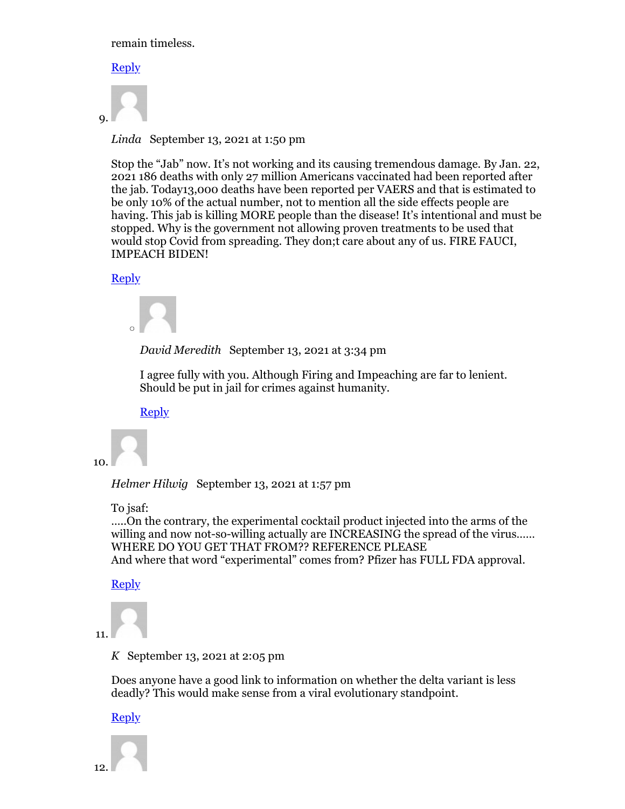remain timeless.

#### **Reply**



*Linda* September 13, 2021 at 1:50 pm

Stop the "Jab" now. It's not working and its causing tremendous damage. By Jan. 22, 2021 186 deaths with only 27 million Americans vaccinated had been reported after the jab. Today13,000 deaths have been reported per VAERS and that is estimated to be only 10% of the actual number, not to mention all the side effects people are having. This jab is killing MORE people than the disease! It's intentional and must be stopped. Why is the government not allowing proven treatments to be used that would stop Covid from spreading. They don;t care about any of us. FIRE FAUCI, IMPEACH BIDEN!

### Reply



*David Meredith* September 13, 2021 at 3:34 pm

I agree fully with you. Although Firing and Impeaching are far to lenient. Should be put in jail for crimes against humanity.

Reply



*Helmer Hilwig* September 13, 2021 at 1:57 pm

To isaf:

…..On the contrary, the experimental cocktail product injected into the arms of the willing and now not-so-willing actually are INCREASING the spread of the virus...... WHERE DO YOU GET THAT FROM?? REFERENCE PLEASE And where that word "experimental" comes from? Pfizer has FULL FDA approval.

#### **Reply**

```
11.
```
*K* September 13, 2021 at 2:05 pm

Does anyone have a good link to information on whether the delta variant is less deadly? This would make sense from a viral evolutionary standpoint.

#### **Reply**

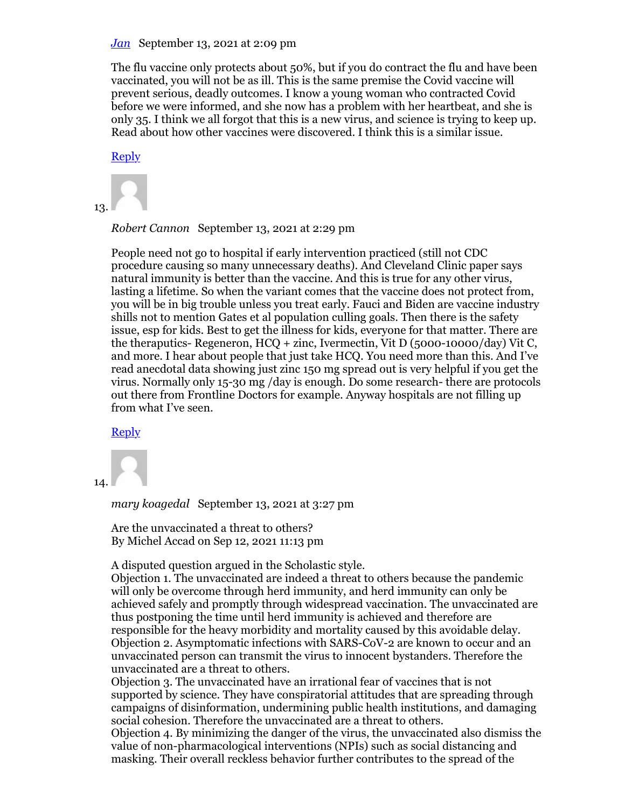#### *Jan* September 13, 2021 at 2:09 pm

The flu vaccine only protects about 50%, but if you do contract the flu and have been vaccinated, you will not be as ill. This is the same premise the Covid vaccine will prevent serious, deadly outcomes. I know a young woman who contracted Covid before we were informed, and she now has a problem with her heartbeat, and she is only 35. I think we all forgot that this is a new virus, and science is trying to keep up. Read about how other vaccines were discovered. I think this is a similar issue.

**Reply** 



*Robert Cannon* September 13, 2021 at 2:29 pm

People need not go to hospital if early intervention practiced (still not CDC procedure causing so many unnecessary deaths). And Cleveland Clinic paper says natural immunity is better than the vaccine. And this is true for any other virus, lasting a lifetime. So when the variant comes that the vaccine does not protect from, you will be in big trouble unless you treat early. Fauci and Biden are vaccine industry shills not to mention Gates et al population culling goals. Then there is the safety issue, esp for kids. Best to get the illness for kids, everyone for that matter. There are the theraputics- Regeneron, HCQ + zinc, Ivermectin, Vit D (5000-10000/day) Vit C, and more. I hear about people that just take HCQ. You need more than this. And I've read anecdotal data showing just zinc 150 mg spread out is very helpful if you get the virus. Normally only 15-30 mg /day is enough. Do some research- there are protocols out there from Frontline Doctors for example. Anyway hospitals are not filling up from what I've seen.

#### Reply

14.

*mary koagedal* September 13, 2021 at 3:27 pm

Are the unvaccinated a threat to others? By Michel Accad on Sep 12, 2021 11:13 pm

A disputed question argued in the Scholastic style.

Objection 1. The unvaccinated are indeed a threat to others because the pandemic will only be overcome through herd immunity, and herd immunity can only be achieved safely and promptly through widespread vaccination. The unvaccinated are thus postponing the time until herd immunity is achieved and therefore are responsible for the heavy morbidity and mortality caused by this avoidable delay. Objection 2. Asymptomatic infections with SARS-CoV-2 are known to occur and an unvaccinated person can transmit the virus to innocent bystanders. Therefore the unvaccinated are a threat to others.

Objection 3. The unvaccinated have an irrational fear of vaccines that is not supported by science. They have conspiratorial attitudes that are spreading through campaigns of disinformation, undermining public health institutions, and damaging social cohesion. Therefore the unvaccinated are a threat to others.

Objection 4. By minimizing the danger of the virus, the unvaccinated also dismiss the value of non-pharmacological interventions (NPIs) such as social distancing and masking. Their overall reckless behavior further contributes to the spread of the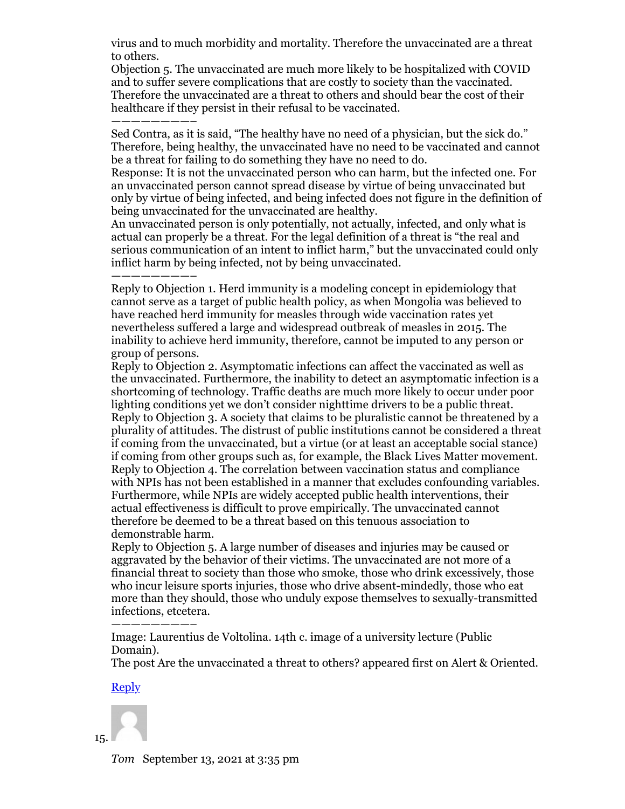virus and to much morbidity and mortality. Therefore the unvaccinated are a threat to others.

Objection 5. The unvaccinated are much more likely to be hospitalized with COVID and to suffer severe complications that are costly to society than the vaccinated. Therefore the unvaccinated are a threat to others and should bear the cost of their healthcare if they persist in their refusal to be vaccinated.

————————– Sed Contra, as it is said, "The healthy have no need of a physician, but the sick do." Therefore, being healthy, the unvaccinated have no need to be vaccinated and cannot be a threat for failing to do something they have no need to do.

Response: It is not the unvaccinated person who can harm, but the infected one. For an unvaccinated person cannot spread disease by virtue of being unvaccinated but only by virtue of being infected, and being infected does not figure in the definition of being unvaccinated for the unvaccinated are healthy.

An unvaccinated person is only potentially, not actually, infected, and only what is actual can properly be a threat. For the legal definition of a threat is "the real and serious communication of an intent to inflict harm," but the unvaccinated could only inflict harm by being infected, not by being unvaccinated.

————————– Reply to Objection 1. Herd immunity is a modeling concept in epidemiology that cannot serve as a target of public health policy, as when Mongolia was believed to have reached herd immunity for measles through wide vaccination rates yet nevertheless suffered a large and widespread outbreak of measles in 2015. The inability to achieve herd immunity, therefore, cannot be imputed to any person or group of persons.

Reply to Objection 2. Asymptomatic infections can affect the vaccinated as well as the unvaccinated. Furthermore, the inability to detect an asymptomatic infection is a shortcoming of technology. Traffic deaths are much more likely to occur under poor lighting conditions yet we don't consider nighttime drivers to be a public threat. Reply to Objection 3. A society that claims to be pluralistic cannot be threatened by a plurality of attitudes. The distrust of public institutions cannot be considered a threat if coming from the unvaccinated, but a virtue (or at least an acceptable social stance) if coming from other groups such as, for example, the Black Lives Matter movement. Reply to Objection 4. The correlation between vaccination status and compliance with NPIs has not been established in a manner that excludes confounding variables. Furthermore, while NPIs are widely accepted public health interventions, their actual effectiveness is difficult to prove empirically. The unvaccinated cannot therefore be deemed to be a threat based on this tenuous association to demonstrable harm.

Reply to Objection 5. A large number of diseases and injuries may be caused or aggravated by the behavior of their victims. The unvaccinated are not more of a financial threat to society than those who smoke, those who drink excessively, those who incur leisure sports injuries, those who drive absent-mindedly, those who eat more than they should, those who unduly expose themselves to sexually-transmitted infections, etcetera.

Image: Laurentius de Voltolina. 14th c. image of a university lecture (Public Domain).

The post Are the unvaccinated a threat to others? appeared first on Alert & Oriented.

#### Reply

————————–

*Tom* September 13, 2021 at 3:35 pm

15.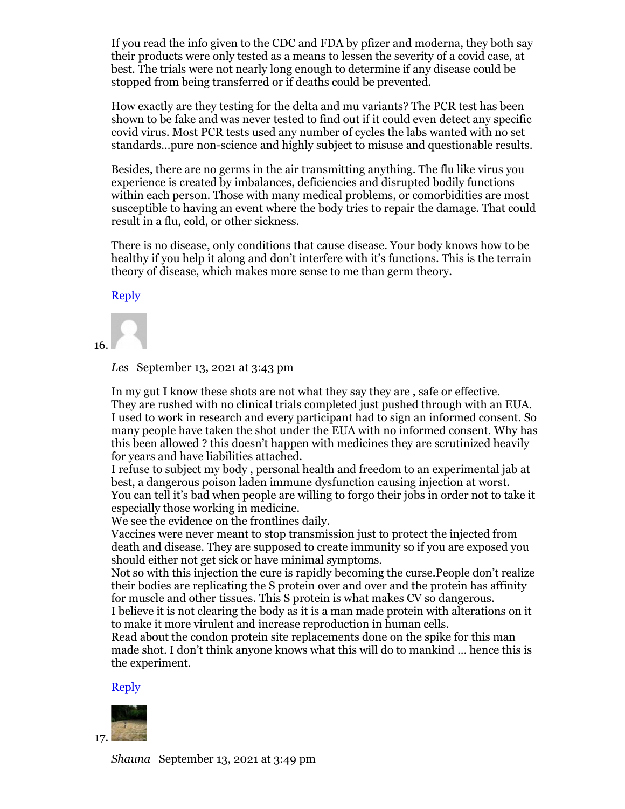If you read the info given to the CDC and FDA by pfizer and moderna, they both say their products were only tested as a means to lessen the severity of a covid case, at best. The trials were not nearly long enough to determine if any disease could be stopped from being transferred or if deaths could be prevented.

How exactly are they testing for the delta and mu variants? The PCR test has been shown to be fake and was never tested to find out if it could even detect any specific covid virus. Most PCR tests used any number of cycles the labs wanted with no set standards…pure non-science and highly subject to misuse and questionable results.

Besides, there are no germs in the air transmitting anything. The flu like virus you experience is created by imbalances, deficiencies and disrupted bodily functions within each person. Those with many medical problems, or comorbidities are most susceptible to having an event where the body tries to repair the damage. That could result in a flu, cold, or other sickness.

There is no disease, only conditions that cause disease. Your body knows how to be healthy if you help it along and don't interfere with it's functions. This is the terrain theory of disease, which makes more sense to me than germ theory.

Reply

16.

*Les* September 13, 2021 at 3:43 pm

In my gut I know these shots are not what they say they are , safe or effective. They are rushed with no clinical trials completed just pushed through with an EUA. I used to work in research and every participant had to sign an informed consent. So many people have taken the shot under the EUA with no informed consent. Why has this been allowed ? this doesn't happen with medicines they are scrutinized heavily for years and have liabilities attached.

I refuse to subject my body , personal health and freedom to an experimental jab at best, a dangerous poison laden immune dysfunction causing injection at worst. You can tell it's bad when people are willing to forgo their jobs in order not to take it especially those working in medicine.

We see the evidence on the frontlines daily.

Vaccines were never meant to stop transmission just to protect the injected from death and disease. They are supposed to create immunity so if you are exposed you should either not get sick or have minimal symptoms.

Not so with this injection the cure is rapidly becoming the curse.People don't realize their bodies are replicating the S protein over and over and the protein has affinity for muscle and other tissues. This S protein is what makes CV so dangerous. I believe it is not clearing the body as it is a man made protein with alterations on it

to make it more virulent and increase reproduction in human cells. Read about the condon protein site replacements done on the spike for this man made shot. I don't think anyone knows what this will do to mankind … hence this is the experiment.

#### Reply



*Shauna* September 13, 2021 at 3:49 pm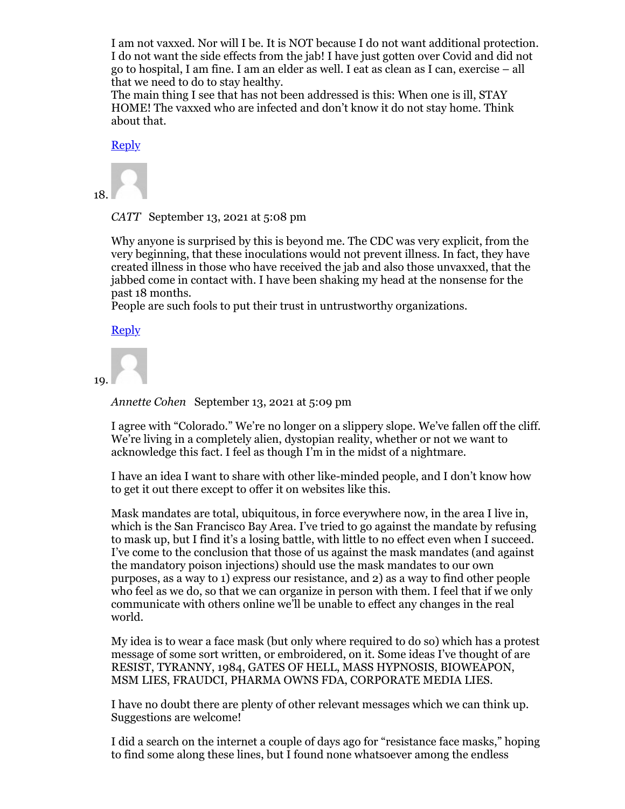I am not vaxxed. Nor will I be. It is NOT because I do not want additional protection. I do not want the side effects from the jab! I have just gotten over Covid and did not go to hospital, I am fine. I am an elder as well. I eat as clean as I can, exercise – all that we need to do to stay healthy.

The main thing I see that has not been addressed is this: When one is ill, STAY HOME! The vaxxed who are infected and don't know it do not stay home. Think about that.

Reply



*CATT* September 13, 2021 at 5:08 pm

Why anyone is surprised by this is beyond me. The CDC was very explicit, from the very beginning, that these inoculations would not prevent illness. In fact, they have created illness in those who have received the jab and also those unvaxxed, that the jabbed come in contact with. I have been shaking my head at the nonsense for the past 18 months.

People are such fools to put their trust in untrustworthy organizations.

Reply

19.

*Annette Cohen* September 13, 2021 at 5:09 pm

I agree with "Colorado." We're no longer on a slippery slope. We've fallen off the cliff. We're living in a completely alien, dystopian reality, whether or not we want to acknowledge this fact. I feel as though I'm in the midst of a nightmare.

I have an idea I want to share with other like-minded people, and I don't know how to get it out there except to offer it on websites like this.

Mask mandates are total, ubiquitous, in force everywhere now, in the area I live in, which is the San Francisco Bay Area. I've tried to go against the mandate by refusing to mask up, but I find it's a losing battle, with little to no effect even when I succeed. I've come to the conclusion that those of us against the mask mandates (and against the mandatory poison injections) should use the mask mandates to our own purposes, as a way to 1) express our resistance, and 2) as a way to find other people who feel as we do, so that we can organize in person with them. I feel that if we only communicate with others online we'll be unable to effect any changes in the real world.

My idea is to wear a face mask (but only where required to do so) which has a protest message of some sort written, or embroidered, on it. Some ideas I've thought of are RESIST, TYRANNY, 1984, GATES OF HELL, MASS HYPNOSIS, BIOWEAPON, MSM LIES, FRAUDCI, PHARMA OWNS FDA, CORPORATE MEDIA LIES.

I have no doubt there are plenty of other relevant messages which we can think up. Suggestions are welcome!

I did a search on the internet a couple of days ago for "resistance face masks," hoping to find some along these lines, but I found none whatsoever among the endless